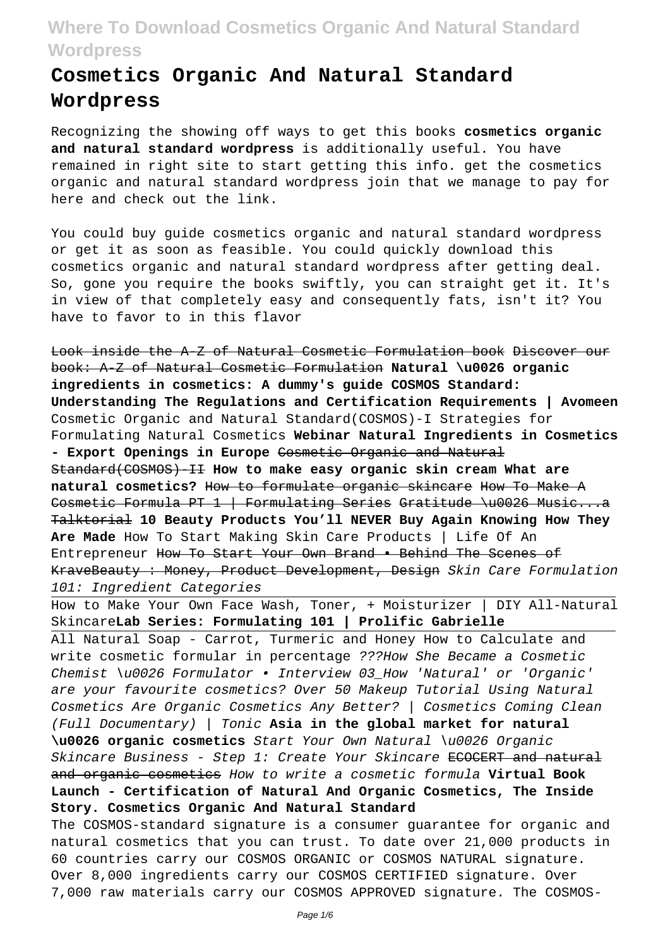# **Cosmetics Organic And Natural Standard Wordpress**

Recognizing the showing off ways to get this books **cosmetics organic and natural standard wordpress** is additionally useful. You have remained in right site to start getting this info. get the cosmetics organic and natural standard wordpress join that we manage to pay for here and check out the link.

You could buy guide cosmetics organic and natural standard wordpress or get it as soon as feasible. You could quickly download this cosmetics organic and natural standard wordpress after getting deal. So, gone you require the books swiftly, you can straight get it. It's in view of that completely easy and consequently fats, isn't it? You have to favor to in this flavor

Look inside the A-Z of Natural Cosmetic Formulation book Discover our book: A-Z of Natural Cosmetic Formulation **Natural \u0026 organic ingredients in cosmetics: A dummy's guide COSMOS Standard: Understanding The Regulations and Certification Requirements | Avomeen** Cosmetic Organic and Natural Standard(COSMOS)-I Strategies for Formulating Natural Cosmetics **Webinar Natural Ingredients in Cosmetics - Export Openings in Europe** Cosmetic Organic and Natural Standard(COSMOS)-II **How to make easy organic skin cream What are natural cosmetics?** How to formulate organic skincare How To Make A Cosmetic Formula PT 1 | Formulating Series Gratitude \u0026 Music...a Talktorial **10 Beauty Products You'll NEVER Buy Again Knowing How They Are Made** How To Start Making Skin Care Products | Life Of An Entrepreneur How To Start Your Own Brand • Behind The Scenes of KraveBeauty : Money, Product Development, Design Skin Care Formulation 101: Ingredient Categories

How to Make Your Own Face Wash, Toner, + Moisturizer | DIY All-Natural Skincare**Lab Series: Formulating 101 | Prolific Gabrielle**

All Natural Soap - Carrot, Turmeric and Honey How to Calculate and write cosmetic formular in percentage ???How She Became a Cosmetic Chemist \u0026 Formulator • Interview 03\_How 'Natural' or 'Organic' are your favourite cosmetics? Over 50 Makeup Tutorial Using Natural Cosmetics Are Organic Cosmetics Any Better? | Cosmetics Coming Clean (Full Documentary) | Tonic **Asia in the global market for natural \u0026 organic cosmetics** Start Your Own Natural \u0026 Organic Skincare Business - Step 1: Create Your Skincare ECOCERT and natural and organic cosmetics How to write a cosmetic formula **Virtual Book Launch - Certification of Natural And Organic Cosmetics, The Inside Story. Cosmetics Organic And Natural Standard**

The COSMOS-standard signature is a consumer guarantee for organic and natural cosmetics that you can trust. To date over 21,000 products in 60 countries carry our COSMOS ORGANIC or COSMOS NATURAL signature. Over 8,000 ingredients carry our COSMOS CERTIFIED signature. Over 7,000 raw materials carry our COSMOS APPROVED signature. The COSMOS-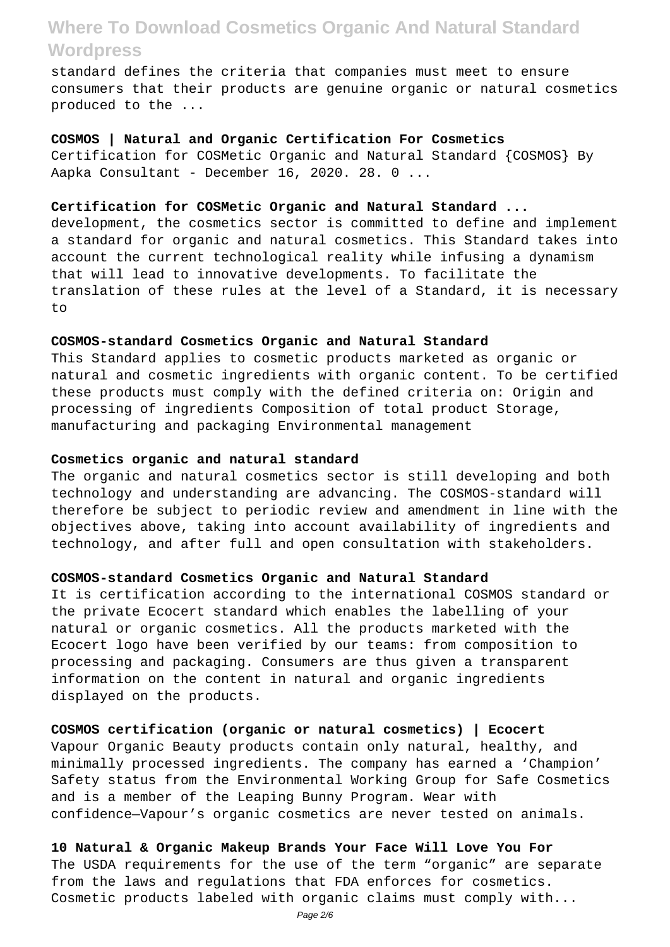standard defines the criteria that companies must meet to ensure consumers that their products are genuine organic or natural cosmetics produced to the ...

#### **COSMOS | Natural and Organic Certification For Cosmetics**

Certification for COSMetic Organic and Natural Standard {COSMOS} By Aapka Consultant - December 16, 2020. 28. 0 ...

## **Certification for COSMetic Organic and Natural Standard ...**

development, the cosmetics sector is committed to define and implement a standard for organic and natural cosmetics. This Standard takes into account the current technological reality while infusing a dynamism that will lead to innovative developments. To facilitate the translation of these rules at the level of a Standard, it is necessary to

### **COSMOS-standard Cosmetics Organic and Natural Standard**

This Standard applies to cosmetic products marketed as organic or natural and cosmetic ingredients with organic content. To be certified these products must comply with the defined criteria on: Origin and processing of ingredients Composition of total product Storage, manufacturing and packaging Environmental management

#### **Cosmetics organic and natural standard**

The organic and natural cosmetics sector is still developing and both technology and understanding are advancing. The COSMOS-standard will therefore be subject to periodic review and amendment in line with the objectives above, taking into account availability of ingredients and technology, and after full and open consultation with stakeholders.

### **COSMOS-standard Cosmetics Organic and Natural Standard**

It is certification according to the international COSMOS standard or the private Ecocert standard which enables the labelling of your natural or organic cosmetics. All the products marketed with the Ecocert logo have been verified by our teams: from composition to processing and packaging. Consumers are thus given a transparent information on the content in natural and organic ingredients displayed on the products.

### **COSMOS certification (organic or natural cosmetics) | Ecocert**

Vapour Organic Beauty products contain only natural, healthy, and minimally processed ingredients. The company has earned a 'Champion' Safety status from the Environmental Working Group for Safe Cosmetics and is a member of the Leaping Bunny Program. Wear with confidence—Vapour's organic cosmetics are never tested on animals.

**10 Natural & Organic Makeup Brands Your Face Will Love You For** The USDA requirements for the use of the term "organic" are separate from the laws and regulations that FDA enforces for cosmetics. Cosmetic products labeled with organic claims must comply with...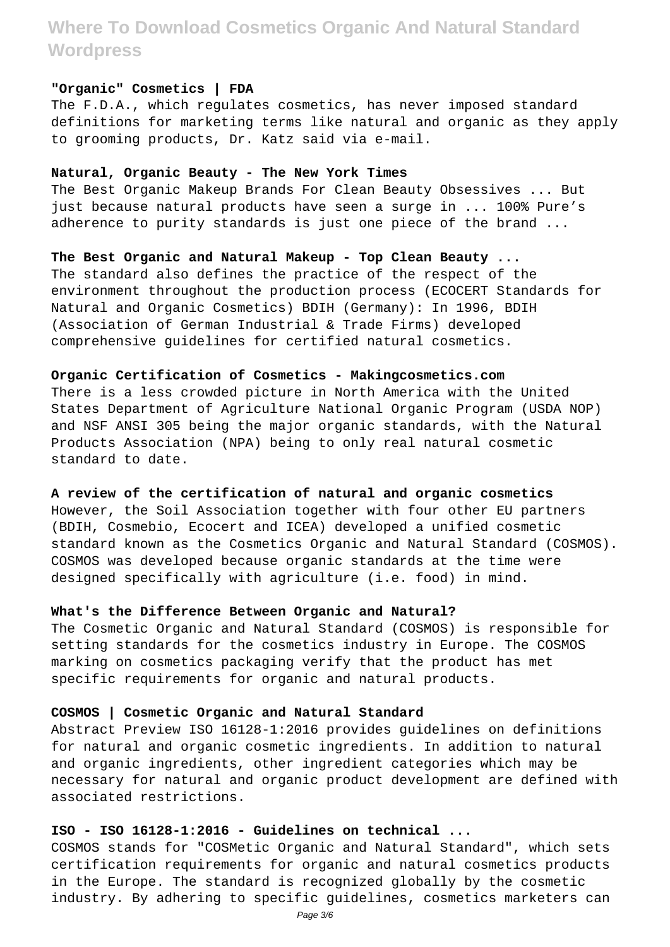### **"Organic" Cosmetics | FDA**

The F.D.A., which regulates cosmetics, has never imposed standard definitions for marketing terms like natural and organic as they apply to grooming products, Dr. Katz said via e-mail.

### **Natural, Organic Beauty - The New York Times**

The Best Organic Makeup Brands For Clean Beauty Obsessives ... But just because natural products have seen a surge in ... 100% Pure's adherence to purity standards is just one piece of the brand ...

# **The Best Organic and Natural Makeup - Top Clean Beauty ...**

The standard also defines the practice of the respect of the environment throughout the production process (ECOCERT Standards for Natural and Organic Cosmetics) BDIH (Germany): In 1996, BDIH (Association of German Industrial & Trade Firms) developed comprehensive guidelines for certified natural cosmetics.

### **Organic Certification of Cosmetics - Makingcosmetics.com**

There is a less crowded picture in North America with the United States Department of Agriculture National Organic Program (USDA NOP) and NSF ANSI 305 being the major organic standards, with the Natural Products Association (NPA) being to only real natural cosmetic standard to date.

## **A review of the certification of natural and organic cosmetics**

However, the Soil Association together with four other EU partners (BDIH, Cosmebio, Ecocert and ICEA) developed a unified cosmetic standard known as the Cosmetics Organic and Natural Standard (COSMOS). COSMOS was developed because organic standards at the time were designed specifically with agriculture (i.e. food) in mind.

## **What's the Difference Between Organic and Natural?**

The Cosmetic Organic and Natural Standard (COSMOS) is responsible for setting standards for the cosmetics industry in Europe. The COSMOS marking on cosmetics packaging verify that the product has met specific requirements for organic and natural products.

## **COSMOS | Cosmetic Organic and Natural Standard**

Abstract Preview ISO 16128-1:2016 provides guidelines on definitions for natural and organic cosmetic ingredients. In addition to natural and organic ingredients, other ingredient categories which may be necessary for natural and organic product development are defined with associated restrictions.

## **ISO - ISO 16128-1:2016 - Guidelines on technical ...**

COSMOS stands for "COSMetic Organic and Natural Standard", which sets certification requirements for organic and natural cosmetics products in the Europe. The standard is recognized globally by the cosmetic industry. By adhering to specific guidelines, cosmetics marketers can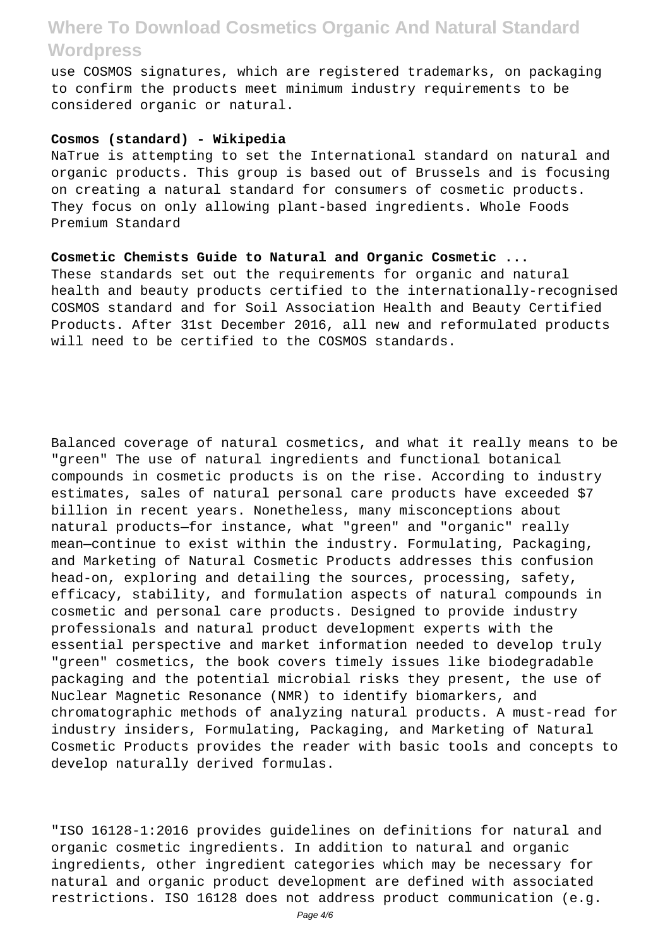use COSMOS signatures, which are registered trademarks, on packaging to confirm the products meet minimum industry requirements to be considered organic or natural.

### **Cosmos (standard) - Wikipedia**

NaTrue is attempting to set the International standard on natural and organic products. This group is based out of Brussels and is focusing on creating a natural standard for consumers of cosmetic products. They focus on only allowing plant-based ingredients. Whole Foods Premium Standard

## **Cosmetic Chemists Guide to Natural and Organic Cosmetic ...**

These standards set out the requirements for organic and natural health and beauty products certified to the internationally-recognised COSMOS standard and for Soil Association Health and Beauty Certified Products. After 31st December 2016, all new and reformulated products will need to be certified to the COSMOS standards.

Balanced coverage of natural cosmetics, and what it really means to be "green" The use of natural ingredients and functional botanical compounds in cosmetic products is on the rise. According to industry estimates, sales of natural personal care products have exceeded \$7 billion in recent years. Nonetheless, many misconceptions about natural products—for instance, what "green" and "organic" really mean—continue to exist within the industry. Formulating, Packaging, and Marketing of Natural Cosmetic Products addresses this confusion head-on, exploring and detailing the sources, processing, safety, efficacy, stability, and formulation aspects of natural compounds in cosmetic and personal care products. Designed to provide industry professionals and natural product development experts with the essential perspective and market information needed to develop truly "green" cosmetics, the book covers timely issues like biodegradable packaging and the potential microbial risks they present, the use of Nuclear Magnetic Resonance (NMR) to identify biomarkers, and chromatographic methods of analyzing natural products. A must-read for industry insiders, Formulating, Packaging, and Marketing of Natural Cosmetic Products provides the reader with basic tools and concepts to develop naturally derived formulas.

"ISO 16128-1:2016 provides guidelines on definitions for natural and organic cosmetic ingredients. In addition to natural and organic ingredients, other ingredient categories which may be necessary for natural and organic product development are defined with associated restrictions. ISO 16128 does not address product communication (e.g.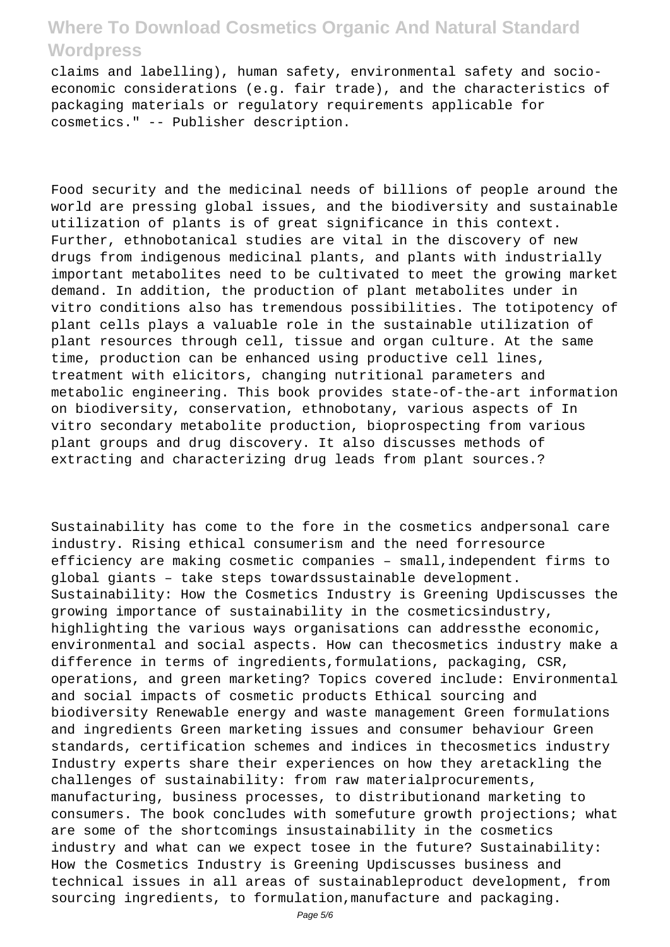claims and labelling), human safety, environmental safety and socioeconomic considerations (e.g. fair trade), and the characteristics of packaging materials or regulatory requirements applicable for cosmetics." -- Publisher description.

Food security and the medicinal needs of billions of people around the world are pressing global issues, and the biodiversity and sustainable utilization of plants is of great significance in this context. Further, ethnobotanical studies are vital in the discovery of new drugs from indigenous medicinal plants, and plants with industrially important metabolites need to be cultivated to meet the growing market demand. In addition, the production of plant metabolites under in vitro conditions also has tremendous possibilities. The totipotency of plant cells plays a valuable role in the sustainable utilization of plant resources through cell, tissue and organ culture. At the same time, production can be enhanced using productive cell lines, treatment with elicitors, changing nutritional parameters and metabolic engineering. This book provides state-of-the-art information on biodiversity, conservation, ethnobotany, various aspects of In vitro secondary metabolite production, bioprospecting from various plant groups and drug discovery. It also discusses methods of extracting and characterizing drug leads from plant sources.?

Sustainability has come to the fore in the cosmetics andpersonal care industry. Rising ethical consumerism and the need forresource efficiency are making cosmetic companies – small,independent firms to global giants – take steps towardssustainable development. Sustainability: How the Cosmetics Industry is Greening Updiscusses the growing importance of sustainability in the cosmeticsindustry, highlighting the various ways organisations can addressthe economic, environmental and social aspects. How can thecosmetics industry make a difference in terms of ingredients,formulations, packaging, CSR, operations, and green marketing? Topics covered include: Environmental and social impacts of cosmetic products Ethical sourcing and biodiversity Renewable energy and waste management Green formulations and ingredients Green marketing issues and consumer behaviour Green standards, certification schemes and indices in thecosmetics industry Industry experts share their experiences on how they aretackling the challenges of sustainability: from raw materialprocurements, manufacturing, business processes, to distributionand marketing to consumers. The book concludes with somefuture growth projections; what are some of the shortcomings insustainability in the cosmetics industry and what can we expect tosee in the future? Sustainability: How the Cosmetics Industry is Greening Updiscusses business and technical issues in all areas of sustainableproduct development, from sourcing ingredients, to formulation,manufacture and packaging.